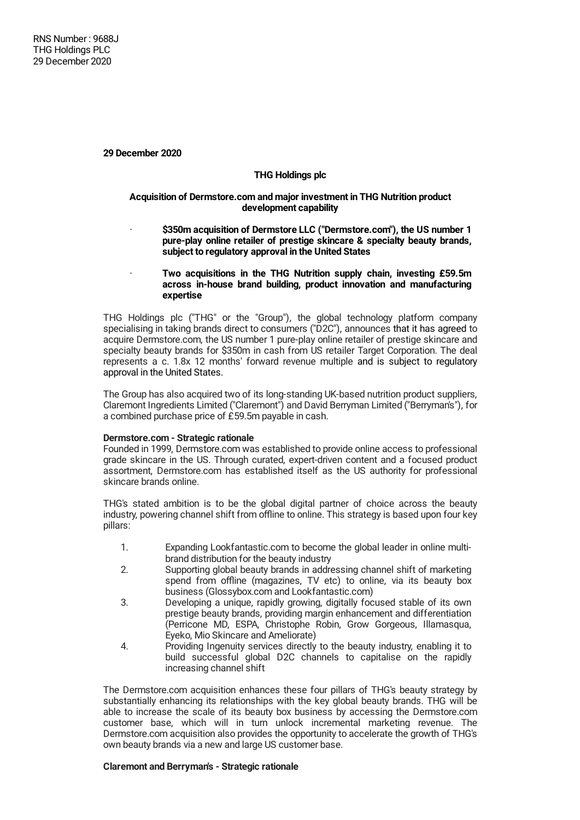**29 December 2020**

# **THG Holdings plc**

### **Acquisition of Dermstore.com and major investment in THG Nutrition product development capability**

- · **\$350m acquisition of Dermstore LLC ("Dermstore.com"), the US number 1 pure-play online retailer of prestige skincare & specialty beauty brands, subject to regulatory approval in the United States**
- · **Two acquisitions in the THG Nutrition supply chain, investing £59.5m across in-house brand building, product innovation and manufacturing expertise**

THG Holdings plc ("THG" or the "Group"), the global technology platform company specialising in taking brands direct to consumers ("D2C"), announces that it has agreed to acquire Dermstore.com, the US number 1 pure-play online retailer of prestige skincare and specialty beauty brands for \$350m in cash from US retailer Target Corporation. The deal represents a c. 1.8x 12 months' forward revenue multiple and is subject to regulatory approval in the United States.

The Group has also acquired two of its long-standing UK-based nutrition product suppliers, Claremont Ingredients Limited ("Claremont") and David Berryman Limited ("Berryman's"), for a combined purchase price of £59.5m payable in cash.

# **Dermstore.com - Strategic rationale**

Founded in 1999, Dermstore.com was established to provide online access to professional grade skincare in the US. Through curated, expert-driven content and a focused product assortment, Dermstore.com has established itself as the US authority for professional skincare brands online.

THG's stated ambition is to be the global digital partner of choice across the beauty industry, powering channel shift from offline to online. This strategy is based upon four key pillars:

- 1. Expanding Lookfantastic.com to become the global leader in online multibrand distribution for the beauty industry
- 2. Supporting global beauty brands in addressing channel shift of marketing spend from offline (magazines, TV etc) to online, via its beauty box business (Glossybox.com and Lookfantastic.com)
- 3. Developing a unique, rapidly growing, digitally focused stable of its own prestige beauty brands, providing margin enhancement and differentiation (Perricone MD, ESPA, Christophe Robin, Grow Gorgeous, Illamasqua, Eyeko, Mio Skincare and Ameliorate)
- 4. Providing Ingenuity services directly to the beauty industry, enabling it to build successful global D2C channels to capitalise on the rapidly increasing channel shift

The Dermstore.com acquisition enhances these four pillars of THG's beauty strategy by substantially enhancing its relationships with the key global beauty brands. THG will be able to increase the scale of its beauty box business by accessing the Dermstore.com customer base, which will in turn unlock incremental marketing revenue. The Dermstore.com acquisition also provides the opportunity to accelerate the growth of THG's own beauty brands via a new and large US customer base.

## **Claremont and Berryman's - Strategic rationale**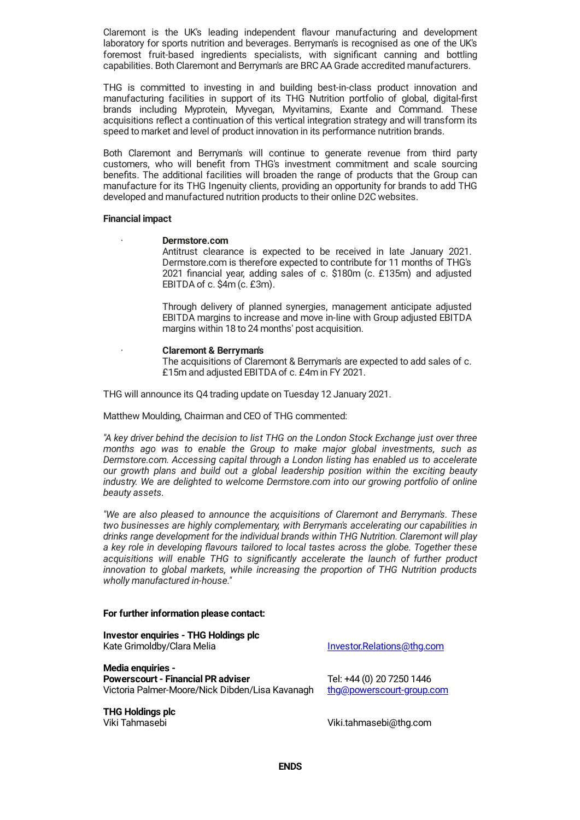Claremont is the UK's leading independent flavour manufacturing and development laboratory for sports nutrition and beverages. Berryman's is recognised as one of the UK's foremost fruit-based ingredients specialists, with significant canning and bottling capabilities. Both Claremont and Berryman's are BRC AA Grade accredited manufacturers.

THG is committed to investing in and building best-in-class product innovation and manufacturing facilities in support of its THG Nutrition portfolio of global, digital-first brands including Myprotein, Myvegan, Myvitamins, Exante and Command. These acquisitions reflect a continuation of this vertical integration strategy and will transform its speed to market and level of product innovation in its performance nutrition brands.

Both Claremont and Berryman's will continue to generate revenue from third party customers, who will benefit from THG's investment commitment and scale sourcing benefits. The additional facilities will broaden the range of products that the Group can manufacture for its THG Ingenuity clients, providing an opportunity for brands to add THG developed and manufactured nutrition products to their online D2C websites.

#### **Financial impact**

### · **Dermstore.com**

Antitrust clearance is expected to be received in late January 2021. Dermstore.com is therefore expected to contribute for 11 months of THG's 2021 financial year, adding sales of c. \$180m (c. £135m) and adjusted EBITDA of c. \$4m (c. £3m).

Through delivery of planned synergies, management anticipate adjusted EBITDA margins to increase and move in-line with Group adjusted EBITDA margins within 18 to 24 months' post acquisition.

#### · **Claremont & Berryman's**

The acquisitions of Claremont & Berryman's are expected to add sales of c. £15m and adjusted EBITDA of c. £4m in FY 2021.

THG will announce its Q4 trading update on Tuesday 12 January 2021.

Matthew Moulding, Chairman and CEO of THG commented:

*"A key driver behind the decision to list THG on the London Stock Exchange just over three months ago was to enable the Group to make major global investments, such as Dermstore.com. Accessing capital through a London listing has enabled us to accelerate our growth plans and build out a global leadership position within the exciting beauty industry. We are delighted to welcome Dermstore.com into our growing portfolio of online beauty assets.*

*"We are also pleased to announce the acquisitions of Claremont and Berryman's. These two businesses are highly complementary, with Berryman's accelerating our capabilities in drinks range development for the individual brands within THG Nutrition. Claremont will play a key role in developing flavours tailored to local tastes across the globe. Together these acquisitions will enable THG to significantly accelerate the launch of further product innovation to global markets, while increasing the proportion of THG Nutrition products wholly manufactured in-house."*

## **For further information please contact:**

**Investor enquiries - THG Holdings plc** Kate Grimoldby/Clara Melia **[Investor.Relations@thg.com](mailto:Investor.Relations@thg.com) Media enquiries - Powerscourt - Financial PR adviser** Tel: +44 (0) 20 7250 1446 Victoria Palmer-Moore/Nick Dibden/Lisa Kavanagh [thg@powerscourt-group.com](mailto:thg@powerscourt-group.com)

**THG Holdings plc**

Viki.tahmasebi@thg.com